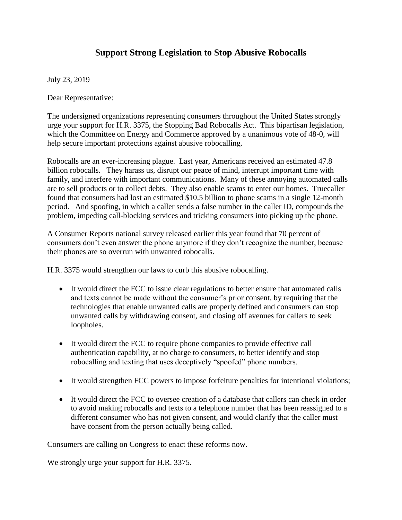## **Support Strong Legislation to Stop Abusive Robocalls**

July 23, 2019

Dear Representative:

The undersigned organizations representing consumers throughout the United States strongly urge your support for H.R. 3375, the Stopping Bad Robocalls Act. This bipartisan legislation, which the Committee on Energy and Commerce approved by a unanimous vote of 48-0, will help secure important protections against abusive robocalling.

Robocalls are an ever-increasing plague. Last year, Americans received an estimated 47.8 billion robocalls. They harass us, disrupt our peace of mind, interrupt important time with family, and interfere with important communications. Many of these annoying automated calls are to sell products or to collect debts. They also enable scams to enter our homes. Truecaller found that consumers had lost an estimated \$10.5 billion to phone scams in a single 12-month period. And spoofing, in which a caller sends a false number in the caller ID, compounds the problem, impeding call-blocking services and tricking consumers into picking up the phone.

A Consumer Reports national survey released earlier this year found that 70 percent of consumers don't even answer the phone anymore if they don't recognize the number, because their phones are so overrun with unwanted robocalls.

H.R. 3375 would strengthen our laws to curb this abusive robocalling.

- It would direct the FCC to issue clear regulations to better ensure that automated calls and texts cannot be made without the consumer's prior consent, by requiring that the technologies that enable unwanted calls are properly defined and consumers can stop unwanted calls by withdrawing consent, and closing off avenues for callers to seek loopholes.
- It would direct the FCC to require phone companies to provide effective call authentication capability, at no charge to consumers, to better identify and stop robocalling and texting that uses deceptively "spoofed" phone numbers.
- It would strengthen FCC powers to impose forfeiture penalties for intentional violations;
- It would direct the FCC to oversee creation of a database that callers can check in order to avoid making robocalls and texts to a telephone number that has been reassigned to a different consumer who has not given consent, and would clarify that the caller must have consent from the person actually being called.

Consumers are calling on Congress to enact these reforms now.

We strongly urge your support for H.R. 3375.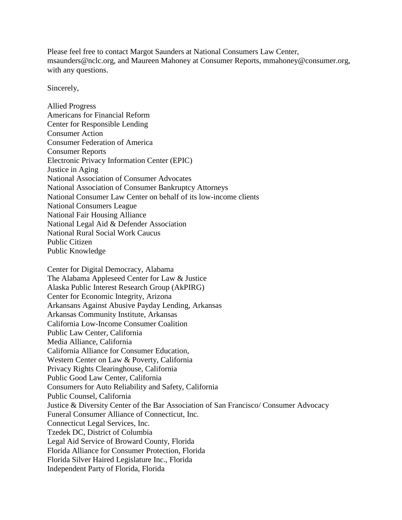Please feel free to contact Margot Saunders at National Consumers Law Center, msaunders@nclc.org, and Maureen Mahoney at Consumer Reports, mmahoney@consumer.org, with any questions.

Sincerely,

Allied Progress Americans for Financial Reform Center for Responsible Lending Consumer Action Consumer Federation of America Consumer Reports Electronic Privacy Information Center (EPIC) Justice in Aging National Association of Consumer Advocates National Association of Consumer Bankruptcy Attorneys National Consumer Law Center on behalf of its low-income clients National Consumers League National Fair Housing Alliance National Legal Aid & Defender Association National Rural Social Work Caucus Public Citizen Public Knowledge

Center for Digital Democracy, Alabama The Alabama Appleseed Center for Law & Justice Alaska Public Interest Research Group (AkPIRG) Center for Economic Integrity, Arizona Arkansans Against Abusive Payday Lending, Arkansas Arkansas Community Institute, Arkansas California Low-Income Consumer Coalition Public Law Center, California Media Alliance, California California Alliance for Consumer Education, Western Center on Law & Poverty, California Privacy Rights Clearinghouse, California Public Good Law Center, California Consumers for Auto Reliability and Safety, California Public Counsel, California Justice & Diversity Center of the Bar Association of San Francisco/ Consumer Advocacy Funeral Consumer Alliance of Connecticut, Inc. Connecticut Legal Services, Inc. Tzedek DC, District of Columbia Legal Aid Service of Broward County, Florida Florida Alliance for Consumer Protection, Florida Florida Silver Haired Legislature Inc., Florida Independent Party of Florida, Florida